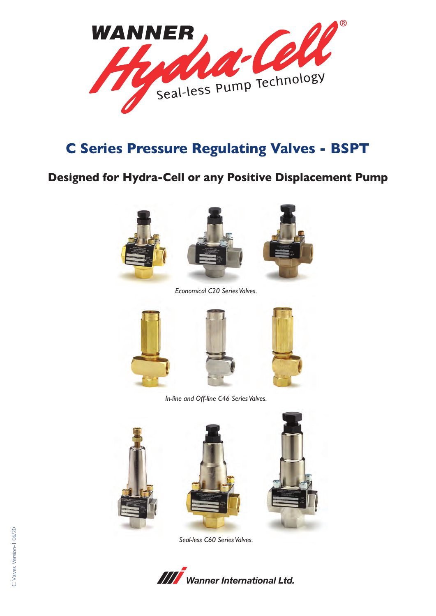

## **C Series Pressure Regulating Valves - BSPT**

### **Designed for Hydra-Cell or any Positive Displacement Pump**





*Economical C20 Series Valves.*





*In-line and Off-line C46 Series Valves.*





*Seal-less C60 Series Valves.*

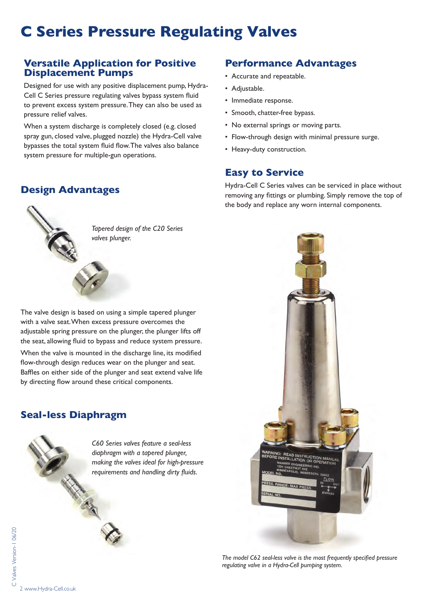# **C Series Pressure Regulating Valves**

#### **Versatile Application for Positive Displacement Pumps**

Designed for use with any positive displacement pump, Hydra-Cell C Series pressure regulating valves bypass system fluid to prevent excess system pressure. They can also be used as pressure relief valves.

When a system discharge is completely closed (e.g. closed spray gun, closed valve, plugged nozzle) the Hydra-Cell valve bypasses the total system fluid flow. The valves also balance system pressure for multiple-gun operations.

### **Design Advantages**



*Tapered design of the C20 Series valves plunger.*

The valve design is based on using a simple tapered plunger with a valve seat. When excess pressure overcomes the adjustable spring pressure on the plunger, the plunger lifts off the seat, allowing fluid to bypass and reduce system pressure.

When the valve is mounted in the discharge line, its modified flow-through design reduces wear on the plunger and seat. Baffles on either side of the plunger and seat extend valve life by directing flow around these critical components.

### **Seal-less Diaphragm**



#### **Performance Advantages**

- Accurate and repeatable.
- Adjustable.
- Immediate response.
- Smooth, chatter-free bypass.
- No external springs or moving parts.
- Flow-through design with minimal pressure surge.
- Heavy-duty construction.

#### **Easy to Service**

Hydra-Cell C Series valves can be serviced in place without removing any fittings or plumbing. Simply remove the top of the body and replace any worn internal components.



*The model C62 seal-less valve is the most frequently specified pressure regulating valve in a Hydra-Cell pumping system.*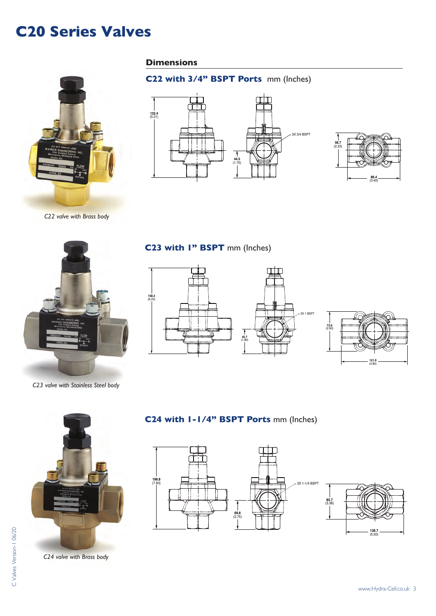## **C20 Series Valves**



*C22 valve with Brass body*

#### **Dimensions**

### **C22 with 3/4" BSPT Ports** mm (Inches)





*C23 valve with Stainless Steel body*

#### **C23 with 1" BSPT** mm (Inches)







*C24 valve with Brass body*

### **C24 with 1-1/4" BSPT Ports** mm (Inches)



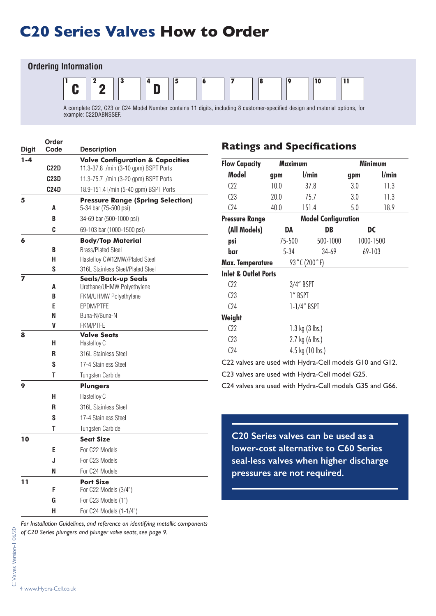## **C20 Series Valves How to Order**

#### **Ordering Information**  $1 \t\t |2 \t\t |3 \t\t |4 \t\t |5 \t\t |6 \t\t |7 \t\t |8 \t\t |9 \t\t |10 \t\t |11$ A complete C22, C23 or C24 Model Number contains 11 digits, including 8 customer-specified design and material options, for  $\mathbf{C} \parallel ^{2} 2$ D

example: C22DABNSSEF.

| <b>Digit</b> | Order<br>Code     | <b>Description</b>                                                |
|--------------|-------------------|-------------------------------------------------------------------|
| $1 - 4$      |                   | <b>Valve Configuration &amp; Capacities</b>                       |
|              | <b>C22D</b>       | 11.3-37.8 l/min (3-10 gpm) BSPT Ports                             |
|              | C <sub>23</sub> D | 11.3-75.7 I/min (3-20 gpm) BSPT Ports                             |
|              | <b>C24D</b>       | 18.9-151.4 I/min (5-40 gpm) BSPT Ports                            |
| 5            | A                 | <b>Pressure Range (Spring Selection)</b><br>5-34 bar (75-500 psi) |
|              | B                 |                                                                   |
|              |                   | 34-69 bar (500-1000 psi)                                          |
|              | C                 | 69-103 bar (1000-1500 psi)                                        |
| 6            |                   | <b>Body/Top Material</b>                                          |
|              | B<br>н            | <b>Brass/Plated Steel</b><br>Hastelloy CW12MW/Plated Steel        |
|              | S                 | 316L Stainless Steel/Plated Steel                                 |
| 7            |                   | <b>Seals/Back-up Seals</b>                                        |
|              | A                 | Urethane/UHMW Polyethylene                                        |
|              | B                 | <b>FKM/UHMW Polyethylene</b>                                      |
|              | E                 | EPDM/PTFE                                                         |
|              | N                 | Buna-N/Buna-N                                                     |
|              | V                 | <b>FKM/PTFE</b>                                                   |
| 8            |                   | <b>Valve Seats</b>                                                |
|              | н                 | Hastelloy C                                                       |
|              | R                 | 316L Stainless Steel                                              |
|              | S                 | 17-4 Stainless Steel                                              |
|              | Т                 | Tungsten Carbide                                                  |
| 9            |                   | <b>Plungers</b>                                                   |
|              | н                 | Hastelloy C                                                       |
|              | R                 | 316L Stainless Steel                                              |
|              | S                 | 17-4 Stainless Steel                                              |
|              | Т                 | Tungsten Carbide                                                  |
| 10           |                   | <b>Seat Size</b>                                                  |
|              | E                 | For C22 Models                                                    |
|              | J                 | For C23 Models                                                    |
|              | N                 | For C24 Models                                                    |
| 11           |                   | <b>Port Size</b>                                                  |
|              | F                 | For C22 Models (3/4")                                             |
|              | G                 | For C23 Models (1")                                               |
|              | н                 | For C24 Models (1-1/4")                                           |

*For Installation Guidelines, and reference on identifying metallic components of C20 Series plungers and plunger valve seats, see page 9.*

### **Ratings and Specifications**

| <b>Flow Capacity</b><br><b>Maximum</b> |                           |                | <b>Minimum</b>             |           |  |
|----------------------------------------|---------------------------|----------------|----------------------------|-----------|--|
| Model                                  | gpm                       | l/min          | gpm                        | l/min     |  |
| C22                                    | 10.0                      | 37.8           | 3.0                        | 11.3      |  |
| C <sub>23</sub>                        | 20.0                      | 75.7           | 3.0                        | 11.3      |  |
| C <sub>24</sub>                        | 40.0                      | 151.4          | 5.0                        | 18.9      |  |
| <b>Pressure Range</b>                  |                           |                | <b>Model Configuration</b> |           |  |
| (All Models)                           | DA                        |                | DB                         | DC        |  |
| psi                                    | 75-500                    |                | 500-1000                   | 1000-1500 |  |
| bar                                    | $5 - 34$                  |                | 34-69                      | 69-103    |  |
| Max. Temperature                       |                           | 93 °C (200 °F) |                            |           |  |
| <b>Inlet &amp; Outlet Ports</b>        |                           |                |                            |           |  |
| C <sub>22</sub>                        |                           | $3/4$ " BSPT   |                            |           |  |
| C <sub>23</sub>                        | 1" BSPT                   |                |                            |           |  |
| C <sub>24</sub>                        | $1-1/4"$ BSPT             |                |                            |           |  |
| Weight                                 |                           |                |                            |           |  |
| C22                                    | 1.3 kg $(3 \text{ lbs.})$ |                |                            |           |  |
| C <sub>23</sub>                        | $2.7 \text{ kg}$ (6 lbs.) |                |                            |           |  |
| C <sub>24</sub>                        | 4.5 kg (10 lbs.)          |                |                            |           |  |

C22 valves are used with Hydra-Cell models G10 and G12.

C23 valves are used with Hydra-Cell model G25.

C24 valves are used with Hydra-Cell models G35 and G66.

**C20 Series valves can be used as a lower-cost alternative to C60 Series seal-less valves when higher discharge pressures are not required.**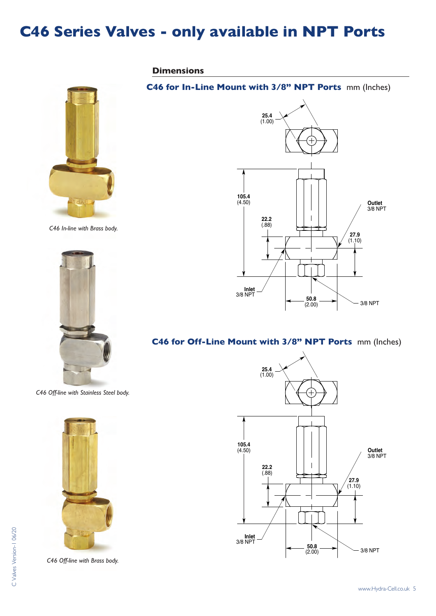## **C46 Series Valves - only available in NPT Ports**

**Dimensions**



*C46 In-line with Brass body.*



*C46 Off-line with Stainless Steel body.*



*C46 Off-line with Brass body.* 

### **Outlet** 3/8 NPT 3/8 NPT **Inlet** 3/8 NPT **105.4** (4.50) **22.2** (.88) **50.8** (2.00) **27.9**  $(1.10)$ **25.4** (1.00) **105.4**  $\sim$ **22.2**  $\perp$ **27.9** (1.10)

#### **C46 for Off-Line Mount with 3/8" NPT Ports mm (Inches)**

**C46 for In-Line Mount with 3/8" NPT Ports** mm (Inches) **25.4**

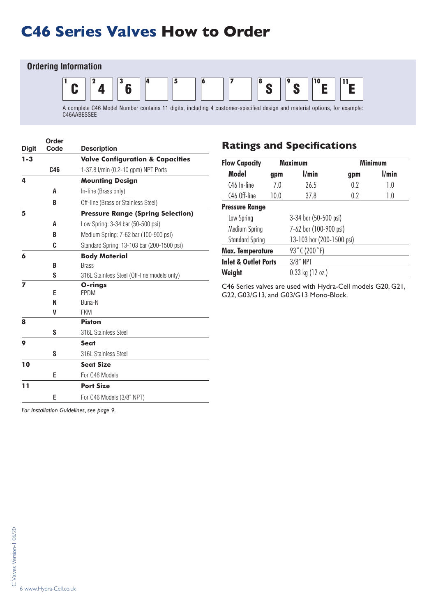# **C46 Series Valves How to Order**

#### **Ordering Information**



| <b>Digit</b> | Order<br>Code | <b>Description</b>                          |
|--------------|---------------|---------------------------------------------|
| $1 - 3$      |               | <b>Valve Configuration &amp; Capacities</b> |
|              | C46           | 1-37.8 l/min (0.2-10 gpm) NPT Ports         |
| 4            |               | <b>Mounting Design</b>                      |
|              | A             | In-line (Brass only)                        |
|              | B             | Off-line (Brass or Stainless Steel)         |
| 5            |               | <b>Pressure Range (Spring Selection)</b>    |
|              | A             | Low Spring: 3-34 bar (50-500 psi)           |
|              | R             | Medium Spring: 7-62 bar (100-900 psi)       |
|              | C             | Standard Spring: 13-103 bar (200-1500 psi)  |
| 6            |               | <b>Body Material</b>                        |
|              | B             | <b>Brass</b>                                |
|              | S             | 316L Stainless Steel (Off-line models only) |
| 7            |               | O-rings                                     |
|              | E             | EPDM                                        |
|              | N             | Buna-N                                      |
| 8            | V             | <b>FKM</b><br><b>Piston</b>                 |
|              | S             | 316L Stainless Steel                        |
|              |               |                                             |
| 9            |               | <b>Seat</b>                                 |
|              | S             | 316L Stainless Steel                        |
| 10           |               | <b>Seat Size</b>                            |
|              | E             | For C46 Models                              |
| 11           |               | <b>Port Size</b>                            |
|              | E             | For C46 Models (3/8" NPT)                   |

### **Ratings and Specifications**

| <b>Flow Capacity</b>            |      | <b>Maximum</b>            | <b>Minimum</b> |       |
|---------------------------------|------|---------------------------|----------------|-------|
| <b>Model</b>                    | gpm  | l/min                     | gpm            | l/min |
| C <sub>46</sub> In-line         | 7.0  | 26.5                      | 0.2            | 1.0   |
| C46 Off-line                    | 10.0 | 37.8                      | 0.2            | 1.0   |
| <b>Pressure Range</b>           |      |                           |                |       |
| Low Spring                      |      | 3-34 bar (50-500 psi)     |                |       |
| Medium Spring                   |      | 7-62 bar (100-900 psi)    |                |       |
| <b>Standard Spring</b>          |      | 13-103 bar (200-1500 psi) |                |       |
| <b>Max. Temperature</b>         |      | 93°C (200°F)              |                |       |
| <b>Inlet &amp; Outlet Ports</b> |      | $3/8''$ NPT               |                |       |
| Weight                          |      | $0.33$ kg (12 oz.)        |                |       |

C46 Series valves are used with Hydra-Cell models G20, G21, G22, G03/G13, and G03/G13 Mono-Block.

*For Installation Guidelines, see page 9.*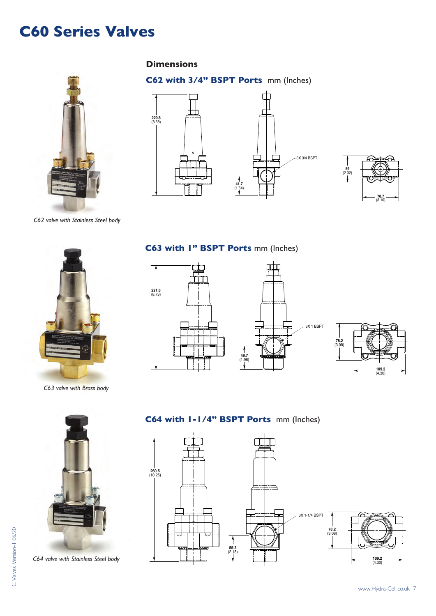## **C60 Series Valves**

#### **Dimensions**

**220.6** (8.68)



**C62 with 3/4" BSPT Ports** mm (Inches)





3X 3/4 BSPT

*C62 valve with Stainless Steel body*



*C63 valve with Brass body*

#### **C63 with 1" BSPT Ports** mm (Inches)







*C64 valve with Stainless Steel body*

### **C64 with 1-1/4" BSPT Ports** mm (Inches)

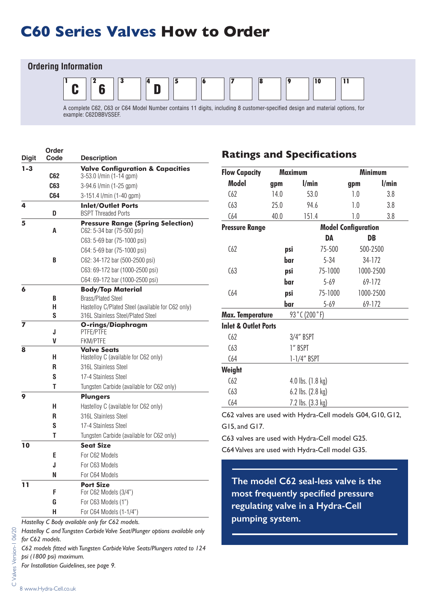# **C60 Series Valves How to Order**



example: C62DBBVSSEF.

| $1 - 3$<br><b>Valve Configuration &amp; Capacities</b><br>3-53.0 l/min (1-14 gpm)<br>C62<br>C63<br>3-94.6 l/min (1-25 gpm)<br>C64<br>3-151.4 l/min (1-40 gpm)<br>4<br><b>Inlet/Outlet Ports</b><br><b>BSPT Threaded Ports</b><br>D<br><b>Pressure Range (Spring Selection)</b><br>5<br>C62: 5-34 bar (75-500 psi)<br>A<br>C63: 5-69 bar (75-1000 psi)<br>C64: 5-69 bar (75-1000 psi)<br>C62: 34-172 bar (500-2500 psi)<br>B<br>C63: 69-172 bar (1000-2500 psi)<br>C64: 69-172 bar (1000-2500 psi) |  |
|---------------------------------------------------------------------------------------------------------------------------------------------------------------------------------------------------------------------------------------------------------------------------------------------------------------------------------------------------------------------------------------------------------------------------------------------------------------------------------------------------|--|
|                                                                                                                                                                                                                                                                                                                                                                                                                                                                                                   |  |
|                                                                                                                                                                                                                                                                                                                                                                                                                                                                                                   |  |
|                                                                                                                                                                                                                                                                                                                                                                                                                                                                                                   |  |
|                                                                                                                                                                                                                                                                                                                                                                                                                                                                                                   |  |
|                                                                                                                                                                                                                                                                                                                                                                                                                                                                                                   |  |
|                                                                                                                                                                                                                                                                                                                                                                                                                                                                                                   |  |
|                                                                                                                                                                                                                                                                                                                                                                                                                                                                                                   |  |
|                                                                                                                                                                                                                                                                                                                                                                                                                                                                                                   |  |
|                                                                                                                                                                                                                                                                                                                                                                                                                                                                                                   |  |
|                                                                                                                                                                                                                                                                                                                                                                                                                                                                                                   |  |
|                                                                                                                                                                                                                                                                                                                                                                                                                                                                                                   |  |
| 6<br><b>Body/Top Material</b>                                                                                                                                                                                                                                                                                                                                                                                                                                                                     |  |
| <b>Brass/Plated Steel</b><br>B                                                                                                                                                                                                                                                                                                                                                                                                                                                                    |  |
| Hastelloy C/Plated Steel (available for C62 only)<br>н                                                                                                                                                                                                                                                                                                                                                                                                                                            |  |
| S<br>316L Stainless Steel/Plated Steel                                                                                                                                                                                                                                                                                                                                                                                                                                                            |  |
| 7<br><b>O-rings/Diaphragm</b><br>PTFE/PTFE<br>J                                                                                                                                                                                                                                                                                                                                                                                                                                                   |  |
| V<br><b>FKM/PTFE</b>                                                                                                                                                                                                                                                                                                                                                                                                                                                                              |  |
| <b>Valve Seats</b><br>8                                                                                                                                                                                                                                                                                                                                                                                                                                                                           |  |
| н<br>Hastelloy C (available for C62 only)                                                                                                                                                                                                                                                                                                                                                                                                                                                         |  |
| R<br>316L Stainless Steel                                                                                                                                                                                                                                                                                                                                                                                                                                                                         |  |
| S<br>17-4 Stainless Steel                                                                                                                                                                                                                                                                                                                                                                                                                                                                         |  |
| Т<br>Tungsten Carbide (available for C62 only)                                                                                                                                                                                                                                                                                                                                                                                                                                                    |  |
| 9<br><b>Plungers</b>                                                                                                                                                                                                                                                                                                                                                                                                                                                                              |  |
| н<br>Hastelloy C (available for C62 only)                                                                                                                                                                                                                                                                                                                                                                                                                                                         |  |
| 316L Stainless Steel<br>R                                                                                                                                                                                                                                                                                                                                                                                                                                                                         |  |
| S<br>17-4 Stainless Steel                                                                                                                                                                                                                                                                                                                                                                                                                                                                         |  |
| Т<br>Tungsten Carbide (available for C62 only)                                                                                                                                                                                                                                                                                                                                                                                                                                                    |  |
| 10<br><b>Seat Size</b>                                                                                                                                                                                                                                                                                                                                                                                                                                                                            |  |
| E<br>For C62 Models                                                                                                                                                                                                                                                                                                                                                                                                                                                                               |  |
| J<br>For C63 Models                                                                                                                                                                                                                                                                                                                                                                                                                                                                               |  |
| For C64 Models<br>N                                                                                                                                                                                                                                                                                                                                                                                                                                                                               |  |
| 11<br><b>Port Size</b><br>F<br>For C62 Models (3/4")                                                                                                                                                                                                                                                                                                                                                                                                                                              |  |
| G<br>For C63 Models (1")                                                                                                                                                                                                                                                                                                                                                                                                                                                                          |  |
| н<br>For C64 Models (1-1/4")                                                                                                                                                                                                                                                                                                                                                                                                                                                                      |  |

*Hastelloy C Body available only for C62 models.*

*Hastelloy C and Tungsten Carbide Valve Seat/Plunger options available only for C62 models.*

*C62 models fitted with Tungsten Carbide Valve Seats/Plungers rated to 124 psi (1800 psi) maximum.*

*For Installation Guidelines, see page 9.*

### **Ratings and Specifications**

| <b>Maximum</b><br><b>Flow Capacity</b> |                               |                            |          | <b>Minimum</b> |       |
|----------------------------------------|-------------------------------|----------------------------|----------|----------------|-------|
| <b>Model</b>                           | gpm                           | l/min                      |          | gpm            | l/min |
| C62                                    | 14.0                          | 53.0                       |          | 1.0            | 3.8   |
| C63                                    | 25.0                          | 94.6                       |          | 1.0            | 3.8   |
| C64                                    | 40.0                          | 151.4                      |          | 1.0            | 3.8   |
| <b>Pressure Range</b>                  |                               | <b>Model Configuration</b> |          |                |       |
|                                        |                               |                            | DA       | DB             |       |
| C62                                    | psi                           |                            | 75-500   | 500-2500       |       |
|                                        | bar                           |                            | $5 - 34$ | 34-172         |       |
| C63                                    | psi                           |                            | 75-1000  | 1000-2500      |       |
|                                        | bar                           |                            | $5 - 69$ | 69-172         |       |
| C64                                    | psi                           |                            | 75-1000  | 1000-2500      |       |
|                                        | bar                           |                            | $5 - 69$ | 69-172         |       |
| <b>Max. Temperature</b>                |                               | 93°C (200°F)               |          |                |       |
| <b>Inlet &amp; Outlet Ports</b>        |                               |                            |          |                |       |
| C62                                    | 3/4" BSPT                     |                            |          |                |       |
| C63                                    | 1" BSPT                       |                            |          |                |       |
| C64                                    | 1-1/4" BSPT                   |                            |          |                |       |
| Weight                                 |                               |                            |          |                |       |
| C62                                    | 4.0 lbs. $(1.8 \text{ kg})$   |                            |          |                |       |
| C63                                    | $6.2$ lbs. $(2.8 \text{ kg})$ |                            |          |                |       |
| C64                                    | 7.2 lbs. (3.3 kg)             |                            |          |                |       |

C62 valves are used with Hydra-Cell models G04, G10, G12, G15, and G17.

C63 valves are used with Hydra-Cell model G25.

C64 Valves are used with Hydra-Cell model G35.

**The model C62 seal-less valve is the most frequently specified pressure regulating valve in a Hydra-Cell pumping system.**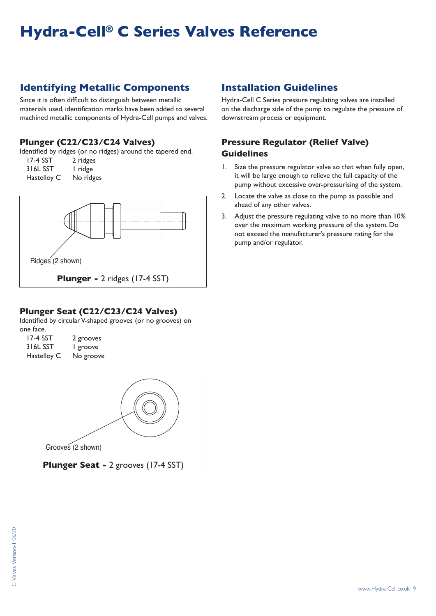# **Hydra-Cell® C Series Valves Reference**

### **Identifying Metallic Components**

Since it is often difficult to distinguish between metallic materials used, identification marks have been added to several machined metallic components of Hydra-Cell pumps and valves.

#### **Plunger (C22/C23/C24 Valves)**

Identified by ridges (or no ridges) around the tapered end.

| 17-4 SST    | 2 ridges  |
|-------------|-----------|
| 316L SST    | l ridge   |
| Hastelloy C | No ridges |



#### **Plunger Seat (C22/C23/C24 Valves)**

Identified by circular V-shaped grooves (or no grooves) on one face.

| <b>17-4 SST</b> | 2 grooves |
|-----------------|-----------|
| 316L SST        | I groove  |
| Hastelloy C     | No groove |



### **Installation Guidelines**

Hydra-Cell C Series pressure regulating valves are installed on the discharge side of the pump to regulate the pressure of downstream process or equipment.

#### **Pressure Regulator (Relief Valve) Guidelines**

- 1. Size the pressure regulator valve so that when fully open, it will be large enough to relieve the full capacity of the pump without excessive over-pressurising of the system.
- 2. Locate the valve as close to the pump as possible and ahead of any other valves.
- 3. Adjust the pressure regulating valve to no more than 10% over the maximum working pressure of the system. Do not exceed the manufacturer's pressure rating for the pump and/or regulator.